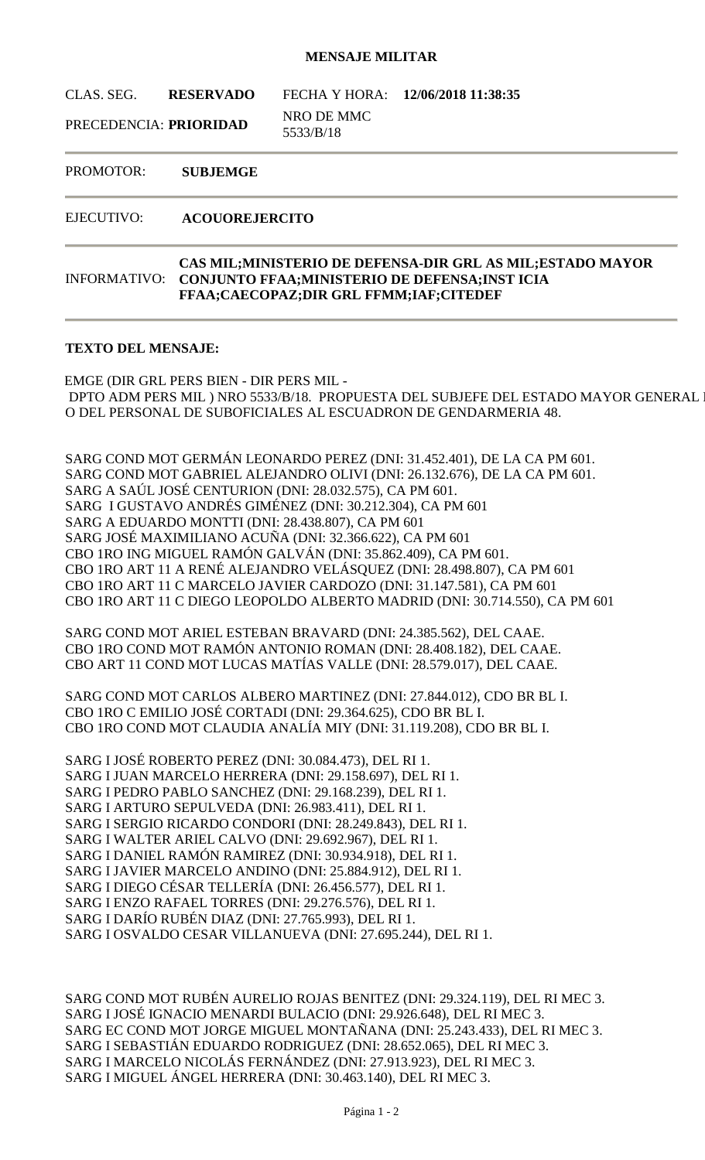## **MENSAJE MILITAR**

CLAS. SEG. **RESERVADO** FECHA Y HORA: **12/06/2018 11:38:35**

PRECEDENCIA: **PRIORIDAD** NRO DE MMC 5533/B/18

PROMOTOR: **SUBJEMGE**

EJECUTIVO: **ACOUOREJERCITO**

## INFORMATIVO: **CAS MIL;MINISTERIO DE DEFENSA-DIR GRL AS MIL;ESTADO MAYOR CONJUNTO FFAA;MINISTERIO DE DEFENSA;INST ICIA FFAA;CAECOPAZ;DIR GRL FFMM;IAF;CITEDEF**

## **TEXTO DEL MENSAJE:**

EMGE (DIR GRL PERS BIEN - DIR PERS MIL - DPTO ADM PERS MIL ) NRO 5533/B/18. PROPUESTA DEL SUBJEFE DEL ESTADO MAYOR GENERAL DEL EJÉRCITO, TRASPASSAGI O DEL PERSONAL DE SUBOFICIALES AL ESCUADRON DE GENDARMERIA 48.

SARG COND MOT GERMÁN LEONARDO PEREZ (DNI: 31.452.401), DE LA CA PM 601. SARG COND MOT GABRIEL ALEJANDRO OLIVI (DNI: 26.132.676), DE LA CA PM 601. SARG A SAÚL JOSÉ CENTURION (DNI: 28.032.575), CA PM 601. SARG I GUSTAVO ANDRÉS GIMÉNEZ (DNI: 30.212.304), CA PM 601 SARG A EDUARDO MONTTI (DNI: 28.438.807), CA PM 601 SARG JOSÉ MAXIMILIANO ACUÑA (DNI: 32.366.622), CA PM 601 CBO 1RO ING MIGUEL RAMÓN GALVÁN (DNI: 35.862.409), CA PM 601. CBO 1RO ART 11 A RENÉ ALEJANDRO VELÁSQUEZ (DNI: 28.498.807), CA PM 601 CBO 1RO ART 11 C MARCELO JAVIER CARDOZO (DNI: 31.147.581), CA PM 601 CBO 1RO ART 11 C DIEGO LEOPOLDO ALBERTO MADRID (DNI: 30.714.550), CA PM 601

SARG COND MOT ARIEL ESTEBAN BRAVARD (DNI: 24.385.562), DEL CAAE. CBO 1RO COND MOT RAMÓN ANTONIO ROMAN (DNI: 28.408.182), DEL CAAE. CBO ART 11 COND MOT LUCAS MATÍAS VALLE (DNI: 28.579.017), DEL CAAE.

SARG COND MOT CARLOS ALBERO MARTINEZ (DNI: 27.844.012), CDO BR BL I. CBO 1RO C EMILIO JOSÉ CORTADI (DNI: 29.364.625), CDO BR BL I. CBO 1RO COND MOT CLAUDIA ANALÍA MIY (DNI: 31.119.208), CDO BR BL I.

SARG I JOSÉ ROBERTO PEREZ (DNI: 30.084.473), DEL RI 1. SARG I JUAN MARCELO HERRERA (DNI: 29.158.697), DEL RI 1. SARG I PEDRO PABLO SANCHEZ (DNI: 29.168.239), DEL RI 1. SARG I ARTURO SEPULVEDA (DNI: 26.983.411), DEL RI 1. SARG I SERGIO RICARDO CONDORI (DNI: 28.249.843), DEL RI 1. SARG I WALTER ARIEL CALVO (DNI: 29.692.967), DEL RI 1. SARG I DANIEL RAMÓN RAMIREZ (DNI: 30.934.918), DEL RI 1. SARG I JAVIER MARCELO ANDINO (DNI: 25.884.912), DEL RI 1. SARG I DIEGO CÉSAR TELLERÍA (DNI: 26.456.577), DEL RI 1. SARG I ENZO RAFAEL TORRES (DNI: 29.276.576), DEL RI 1. SARG I DARÍO RUBÉN DIAZ (DNI: 27.765.993), DEL RI 1. SARG I OSVALDO CESAR VILLANUEVA (DNI: 27.695.244), DEL RI 1.

SARG COND MOT RUBÉN AURELIO ROJAS BENITEZ (DNI: 29.324.119), DEL RI MEC 3. SARG I JOSÉ IGNACIO MENARDI BULACIO (DNI: 29.926.648), DEL RI MEC 3. SARG EC COND MOT JORGE MIGUEL MONTAÑANA (DNI: 25.243.433), DEL RI MEC 3. SARG I SEBASTIÁN EDUARDO RODRIGUEZ (DNI: 28.652.065), DEL RI MEC 3. SARG I MARCELO NICOLÁS FERNÁNDEZ (DNI: 27.913.923), DEL RI MEC 3. SARG I MIGUEL ÁNGEL HERRERA (DNI: 30.463.140), DEL RI MEC 3.